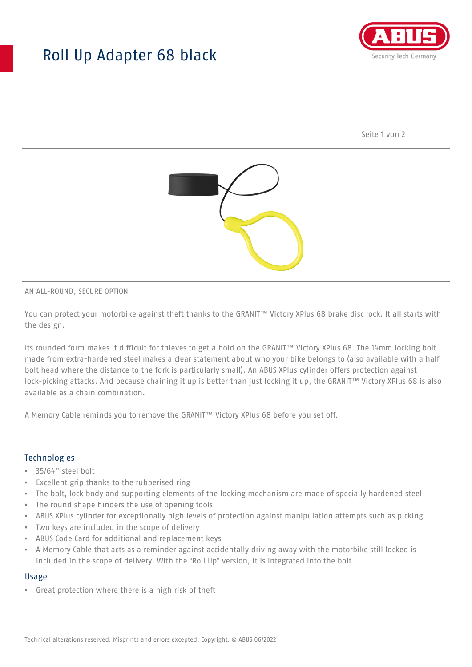## Roll Up Adapter 68 black



Seite 1 von 2



#### AN ALL-ROUND, SECURE OPTION

You can protect your motorbike against theft thanks to the GRANIT™ Victory XPlus 68 brake disc lock. It all starts with the design.

Its rounded form makes it difficult for thieves to get a hold on the GRANIT™ Victory XPlus 68. The 14mm locking bolt made from extra-hardened steel makes a clear statement about who your bike belongs to (also available with a half bolt head where the distance to the fork is particularly small). An ABUS XPlus cylinder offers protection against lock-picking attacks. And because chaining it up is better than just locking it up, the GRANIT™ Victory XPlus 68 is also available as a chain combination.

A Memory Cable reminds you to remove the GRANIT™ Victory XPlus 68 before you set off.

#### **Technologies**

- 35/64" steel bolt
- Excellent grip thanks to the rubberised ring
- The bolt, lock body and supporting elements of the locking mechanism are made of specially hardened steel
- The round shape hinders the use of opening tools
- ABUS XPlus cylinder for exceptionally high levels of protection against manipulation attempts such as picking
- Two keys are included in the scope of delivery
- ABUS Code Card for additional and replacement keys
- A Memory Cable that acts as a reminder against accidentally driving away with the motorbike still locked is included in the scope of delivery. With the "Roll Up" version, it is integrated into the bolt

#### Usage

• Great protection where there is a high risk of theft